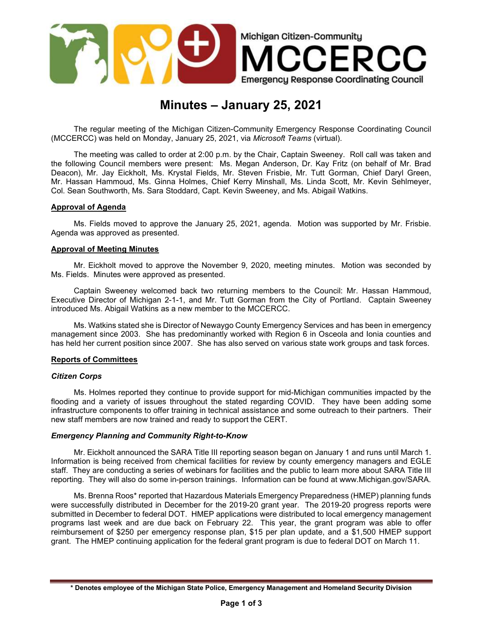

# Minutes – January 25, 2021

The regular meeting of the Michigan Citizen-Community Emergency Response Coordinating Council (MCCERCC) was held on Monday, January 25, 2021, via Microsoft Teams (virtual).

The meeting was called to order at 2:00 p.m. by the Chair, Captain Sweeney. Roll call was taken and the following Council members were present: Ms. Megan Anderson, Dr. Kay Fritz (on behalf of Mr. Brad Deacon), Mr. Jay Eickholt, Ms. Krystal Fields, Mr. Steven Frisbie, Mr. Tutt Gorman, Chief Daryl Green, Mr. Hassan Hammoud, Ms. Ginna Holmes, Chief Kerry Minshall, Ms. Linda Scott, Mr. Kevin Sehlmeyer, Col. Sean Southworth, Ms. Sara Stoddard, Capt. Kevin Sweeney, and Ms. Abigail Watkins.

#### Approval of Agenda

Ms. Fields moved to approve the January 25, 2021, agenda. Motion was supported by Mr. Frisbie. Agenda was approved as presented.

#### Approval of Meeting Minutes

Mr. Eickholt moved to approve the November 9, 2020, meeting minutes. Motion was seconded by Ms. Fields. Minutes were approved as presented.

Captain Sweeney welcomed back two returning members to the Council: Mr. Hassan Hammoud, Executive Director of Michigan 2-1-1, and Mr. Tutt Gorman from the City of Portland. Captain Sweeney introduced Ms. Abigail Watkins as a new member to the MCCERCC.

Ms. Watkins stated she is Director of Newaygo County Emergency Services and has been in emergency management since 2003. She has predominantly worked with Region 6 in Osceola and Ionia counties and has held her current position since 2007. She has also served on various state work groups and task forces.

#### Reports of Committees

#### Citizen Corps

Ms. Holmes reported they continue to provide support for mid-Michigan communities impacted by the flooding and a variety of issues throughout the stated regarding COVID. They have been adding some infrastructure components to offer training in technical assistance and some outreach to their partners. Their new staff members are now trained and ready to support the CERT.

#### Emergency Planning and Community Right-to-Know

Mr. Eickholt announced the SARA Title III reporting season began on January 1 and runs until March 1. Information is being received from chemical facilities for review by county emergency managers and EGLE staff. They are conducting a series of webinars for facilities and the public to learn more about SARA Title III reporting. They will also do some in-person trainings. Information can be found at www.Michigan.gov/SARA.

Ms. Brenna Roos\* reported that Hazardous Materials Emergency Preparedness (HMEP) planning funds were successfully distributed in December for the 2019-20 grant year. The 2019-20 progress reports were submitted in December to federal DOT. HMEP applications were distributed to local emergency management programs last week and are due back on February 22. This year, the grant program was able to offer reimbursement of \$250 per emergency response plan, \$15 per plan update, and a \$1,500 HMEP support grant. The HMEP continuing application for the federal grant program is due to federal DOT on March 11.

<sup>\*</sup> Denotes employee of the Michigan State Police, Emergency Management and Homeland Security Division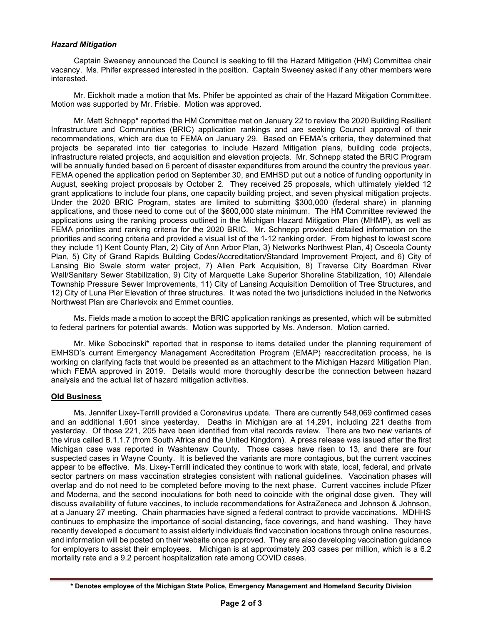### Hazard Mitigation

Captain Sweeney announced the Council is seeking to fill the Hazard Mitigation (HM) Committee chair vacancy. Ms. Phifer expressed interested in the position. Captain Sweeney asked if any other members were interested.

Mr. Eickholt made a motion that Ms. Phifer be appointed as chair of the Hazard Mitigation Committee. Motion was supported by Mr. Frisbie. Motion was approved.

Mr. Matt Schnepp\* reported the HM Committee met on January 22 to review the 2020 Building Resilient Infrastructure and Communities (BRIC) application rankings and are seeking Council approval of their recommendations, which are due to FEMA on January 29. Based on FEMA's criteria, they determined that projects be separated into tier categories to include Hazard Mitigation plans, building code projects, infrastructure related projects, and acquisition and elevation projects. Mr. Schnepp stated the BRIC Program will be annually funded based on 6 percent of disaster expenditures from around the country the previous year. FEMA opened the application period on September 30, and EMHSD put out a notice of funding opportunity in August, seeking project proposals by October 2. They received 25 proposals, which ultimately yielded 12 grant applications to include four plans, one capacity building project, and seven physical mitigation projects. Under the 2020 BRIC Program, states are limited to submitting \$300,000 (federal share) in planning applications, and those need to come out of the \$600,000 state minimum. The HM Committee reviewed the applications using the ranking process outlined in the Michigan Hazard Mitigation Plan (MHMP), as well as FEMA priorities and ranking criteria for the 2020 BRIC. Mr. Schnepp provided detailed information on the priorities and scoring criteria and provided a visual list of the 1-12 ranking order. From highest to lowest score they include 1) Kent County Plan, 2) City of Ann Arbor Plan, 3) Networks Northwest Plan, 4) Osceola County Plan, 5) City of Grand Rapids Building Codes/Accreditation/Standard Improvement Project, and 6) City of Lansing Bio Swale storm water project, 7) Allen Park Acquisition, 8) Traverse City Boardman River Wall/Sanitary Sewer Stabilization, 9) City of Marquette Lake Superior Shoreline Stabilization, 10) Allendale Township Pressure Sewer Improvements, 11) City of Lansing Acquisition Demolition of Tree Structures, and 12) City of Luna Pier Elevation of three structures. It was noted the two jurisdictions included in the Networks Northwest Plan are Charlevoix and Emmet counties.

Ms. Fields made a motion to accept the BRIC application rankings as presented, which will be submitted to federal partners for potential awards. Motion was supported by Ms. Anderson. Motion carried.

Mr. Mike Sobocinski\* reported that in response to items detailed under the planning requirement of EMHSD's current Emergency Management Accreditation Program (EMAP) reaccreditation process, he is working on clarifying facts that would be presented as an attachment to the Michigan Hazard Mitigation Plan, which FEMA approved in 2019. Details would more thoroughly describe the connection between hazard analysis and the actual list of hazard mitigation activities.

#### Old Business

Ms. Jennifer Lixey-Terrill provided a Coronavirus update. There are currently 548,069 confirmed cases and an additional 1,601 since yesterday. Deaths in Michigan are at 14,291, including 221 deaths from yesterday. Of those 221, 205 have been identified from vital records review. There are two new variants of the virus called B.1.1.7 (from South Africa and the United Kingdom). A press release was issued after the first Michigan case was reported in Washtenaw County. Those cases have risen to 13, and there are four suspected cases in Wayne County. It is believed the variants are more contagious, but the current vaccines appear to be effective. Ms. Lixey-Terrill indicated they continue to work with state, local, federal, and private sector partners on mass vaccination strategies consistent with national guidelines. Vaccination phases will overlap and do not need to be completed before moving to the next phase. Current vaccines include Pfizer and Moderna, and the second inoculations for both need to coincide with the original dose given. They will discuss availability of future vaccines, to include recommendations for AstraZeneca and Johnson & Johnson, at a January 27 meeting. Chain pharmacies have signed a federal contract to provide vaccinations. MDHHS continues to emphasize the importance of social distancing, face coverings, and hand washing. They have recently developed a document to assist elderly individuals find vaccination locations through online resources, and information will be posted on their website once approved. They are also developing vaccination guidance for employers to assist their employees. Michigan is at approximately 203 cases per million, which is a 6.2 mortality rate and a 9.2 percent hospitalization rate among COVID cases.

<sup>\*</sup> Denotes employee of the Michigan State Police, Emergency Management and Homeland Security Division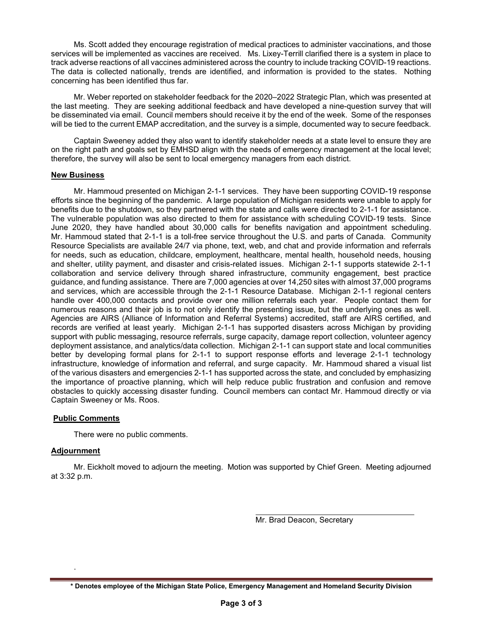Ms. Scott added they encourage registration of medical practices to administer vaccinations, and those services will be implemented as vaccines are received. Ms. Lixey-Terrill clarified there is a system in place to track adverse reactions of all vaccines administered across the country to include tracking COVID-19 reactions. The data is collected nationally, trends are identified, and information is provided to the states. Nothing concerning has been identified thus far.

Mr. Weber reported on stakeholder feedback for the 2020–2022 Strategic Plan, which was presented at the last meeting. They are seeking additional feedback and have developed a nine-question survey that will be disseminated via email. Council members should receive it by the end of the week. Some of the responses will be tied to the current EMAP accreditation, and the survey is a simple, documented way to secure feedback.

Captain Sweeney added they also want to identify stakeholder needs at a state level to ensure they are on the right path and goals set by EMHSD align with the needs of emergency management at the local level; therefore, the survey will also be sent to local emergency managers from each district.

## New Business

Mr. Hammoud presented on Michigan 2-1-1 services. They have been supporting COVID-19 response efforts since the beginning of the pandemic. A large population of Michigan residents were unable to apply for benefits due to the shutdown, so they partnered with the state and calls were directed to 2-1-1 for assistance. The vulnerable population was also directed to them for assistance with scheduling COVID-19 tests. Since June 2020, they have handled about 30,000 calls for benefits navigation and appointment scheduling. Mr. Hammoud stated that 2-1-1 is a toll-free service throughout the U.S. and parts of Canada. Community Resource Specialists are available 24/7 via phone, text, web, and chat and provide information and referrals for needs, such as education, childcare, employment, healthcare, mental health, household needs, housing and shelter, utility payment, and disaster and crisis-related issues. Michigan 2-1-1 supports statewide 2-1-1 collaboration and service delivery through shared infrastructure, community engagement, best practice guidance, and funding assistance. There are 7,000 agencies at over 14,250 sites with almost 37,000 programs and services, which are accessible through the 2-1-1 Resource Database. Michigan 2-1-1 regional centers handle over 400,000 contacts and provide over one million referrals each year. People contact them for numerous reasons and their job is to not only identify the presenting issue, but the underlying ones as well. Agencies are AIRS (Alliance of Information and Referral Systems) accredited, staff are AIRS certified, and records are verified at least yearly. Michigan 2-1-1 has supported disasters across Michigan by providing support with public messaging, resource referrals, surge capacity, damage report collection, volunteer agency deployment assistance, and analytics/data collection. Michigan 2-1-1 can support state and local communities better by developing formal plans for 2-1-1 to support response efforts and leverage 2-1-1 technology infrastructure, knowledge of information and referral, and surge capacity. Mr. Hammoud shared a visual list of the various disasters and emergencies 2-1-1 has supported across the state, and concluded by emphasizing the importance of proactive planning, which will help reduce public frustration and confusion and remove obstacles to quickly accessing disaster funding. Council members can contact Mr. Hammoud directly or via Captain Sweeney or Ms. Roos.

#### Public Comments

There were no public comments.

## Adjournment

.

Mr. Eickholt moved to adjourn the meeting. Motion was supported by Chief Green. Meeting adjourned at 3:32 p.m.

Mr. Brad Deacon, Secretary